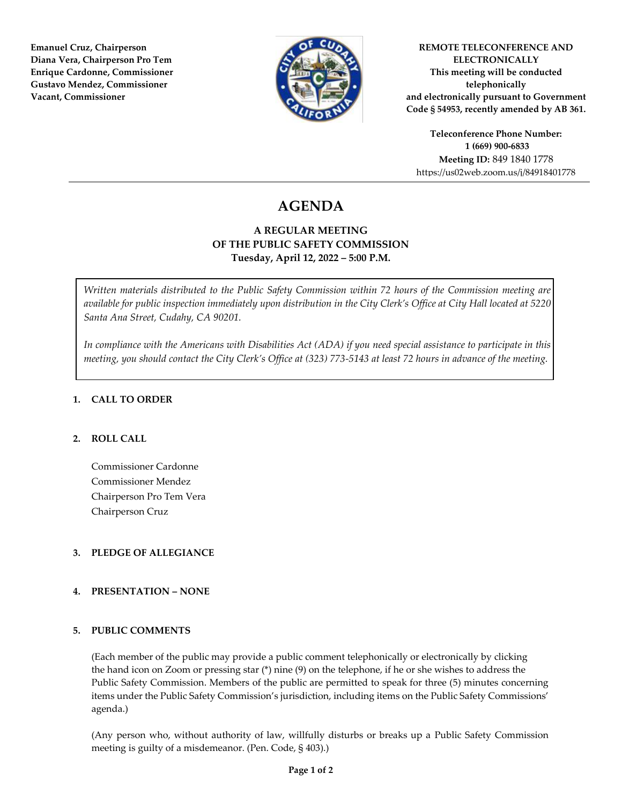**Emanuel Cruz, Chairperson Diana Vera, Chairperson Pro Tem Enrique Cardonne, Commissioner Gustavo Mendez, Commissioner Vacant, Commissioner** 



**REMOTE TELECONFERENCE AND ELECTRONICALLY This meeting will be conducted telephonically and electronically pursuant to Government Code § 54953, recently amended by AB 361.** 

**Teleconference Phone Number: 1 (669) 900-6833 Meeting ID:** 849 1840 1778 https://us02web.zoom.us/j/84918401778

# **AGENDA**

### **A REGULAR MEETING OF THE PUBLIC SAFETY COMMISSION Tuesday, April 12, 2022 – 5:00 P.M.**

*Written materials distributed to the Public Safety Commission within 72 hours of the Commission meeting are available for public inspection immediately upon distribution in the City Clerk's Office at City Hall located at 5220 Santa Ana Street, Cudahy, CA 90201.* 

*In compliance with the Americans with Disabilities Act (ADA) if you need special assistance to participate in this meeting, you should contact the City Clerk's Office at (323) 773-5143 at least 72 hours in advance of the meeting.* 

#### **1. CALL TO ORDER**

#### **2. ROLL CALL**

Commissioner Cardonne Commissioner Mendez Chairperson Pro Tem Vera Chairperson Cruz

#### **3. PLEDGE OF ALLEGIANCE**

#### **4. PRESENTATION – NONE**

#### **5. PUBLIC COMMENTS**

(Each member of the public may provide a public comment telephonically or electronically by clicking the hand icon on Zoom or pressing star (\*) nine (9) on the telephone, if he or she wishes to address the Public Safety Commission. Members of the public are permitted to speak for three (5) minutes concerning items under the Public Safety Commission's jurisdiction, including items on the Public Safety Commissions' agenda.)

(Any person who, without authority of law, willfully disturbs or breaks up a Public Safety Commission meeting is guilty of a misdemeanor. (Pen. Code, § 403).)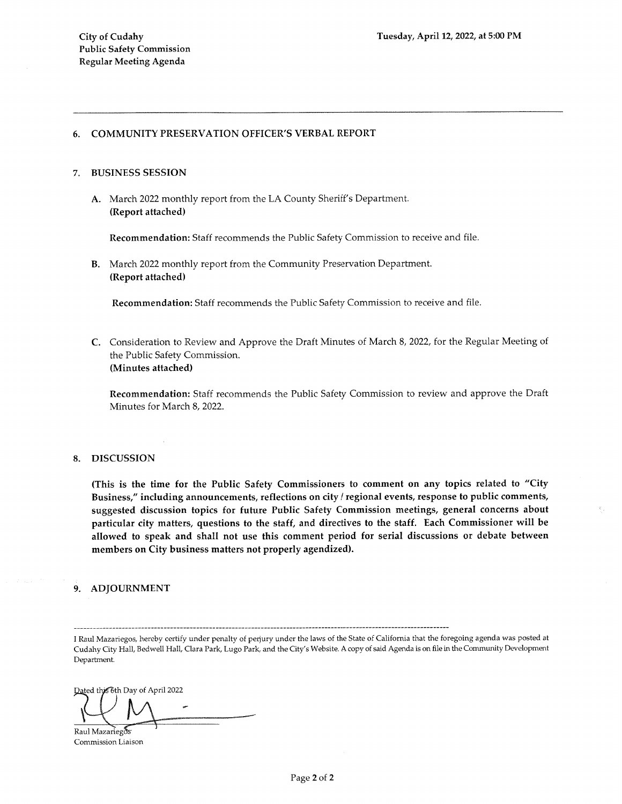#### **COMMUNITY PRESERVATION OFFICER'S VERBAL REPORT** 6.

#### **BUSINESS SESSION**  $7<sub>-</sub>$

A. March 2022 monthly report from the LA County Sheriff's Department. (Report attached)

Recommendation: Staff recommends the Public Safety Commission to receive and file.

B. March 2022 monthly report from the Community Preservation Department. (Report attached)

Recommendation: Staff recommends the Public Safety Commission to receive and file.

C. Consideration to Review and Approve the Draft Minutes of March 8, 2022, for the Regular Meeting of the Public Safety Commission. (Minutes attached)

Recommendation: Staff recommends the Public Safety Commission to review and approve the Draft Minutes for March 8, 2022.

#### **DISCUSSION** 8.

(This is the time for the Public Safety Commissioners to comment on any topics related to "City Business," including announcements, reflections on city / regional events, response to public comments, suggested discussion topics for future Public Safety Commission meetings, general concerns about particular city matters, questions to the staff, and directives to the staff. Each Commissioner will be allowed to speak and shall not use this comment period for serial discussions or debate between members on City business matters not properly agendized).

#### 9. ADJOURNMENT

I Raul Mazariegos, hereby certify under penalty of perjury under the laws of the State of California that the foregoing agenda was posted at Cudahy City Hall, Bedwell Hall, Clara Park, Lugo Park, and the City's Website. A copy of said Agenda is on file in the Community Development Department.

Dated this 6th Day of April 2022

Raul Mazariegos Commission Liaison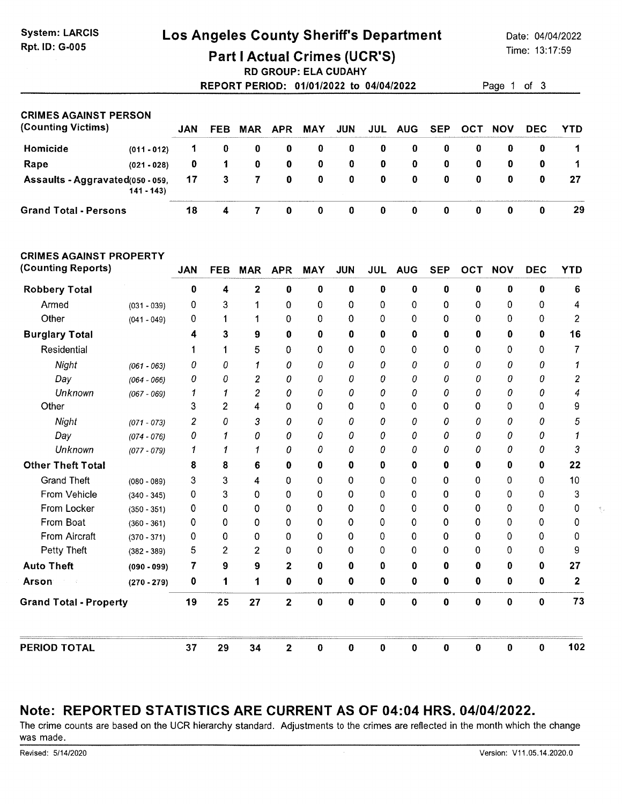## Los Angeles County Sheriff's Department

Date: 04/04/2022 Time: 13:17:59

 $3$ 

**Part I Actual Crimes (UCR'S)** 

**RD GROUP: ELA CUDAHY** 

| REPORT PERIOD: 01/01/2022 to 04/04/2022 |  | Page 1 of |  |
|-----------------------------------------|--|-----------|--|
|                                         |  |           |  |

| <b>CRIMES AGAINST PERSON</b>     |               |            |            |     |          |             |             |   |                |          |     |            |            |            |
|----------------------------------|---------------|------------|------------|-----|----------|-------------|-------------|---|----------------|----------|-----|------------|------------|------------|
| (Counting Victims)               |               | <b>JAN</b> | <b>FEB</b> | MAR | APR      | MAY         | <b>JUN</b>  |   | <b>JUL AUG</b> | SEP      | ост | <b>NOV</b> | <b>DEC</b> | <b>YTD</b> |
| Homicide                         | $(011 - 012)$ |            | 0          | 0   | 0        | 0           | 0           | 0 | 0              | 0        | 0   | 0          |            |            |
| Rape                             | $(021 - 028)$ | 0          |            | 0   | 0        | $\mathbf 0$ | $\mathbf 0$ | 0 | 0              | 0        | 0   | 0          | $\bf{0}$   | -1.        |
| Assaults - Aggravated(050 - 059, | $141 - 143$   | 17         | 3          | -7  | $\bf{0}$ | $\mathbf 0$ | $\bf{0}$    | 0 | 0              | $\bf{0}$ | 0   | O.         | $\Omega$   | 27         |
| <b>Grand Total - Persons</b>     |               | 18         | 4          |     | 0        | 0           | 0           | 0 | 0              | 0        | 0   |            |            | 29         |

#### **CRIMES AGAINST PROPERTY**

| (Counting Reports)            |               | <b>JAN</b>     | <b>FEB</b> | <b>MAR</b>     | <b>APR</b>     | <b>MAY</b> | <b>JUN</b> | <b>JUL</b> | <b>AUG</b> | <b>SEP</b> | OCT      | <b>NOV</b>   | <b>DEC</b> | <b>YTD</b>     |
|-------------------------------|---------------|----------------|------------|----------------|----------------|------------|------------|------------|------------|------------|----------|--------------|------------|----------------|
| <b>Robbery Total</b>          |               | $\bf{0}$       | 4          | $\overline{2}$ | $\bf{0}$       | $\bf{0}$   | 0          | 0          | $\bf{0}$   | $\bf{0}$   | 0        | 0            | 0          | 6              |
| Armed                         | $(031 - 039)$ | 0              | 3          | 1              | 0              | 0          | 0          | 0          | 0          | 0          | 0        | 0            | 0          | 4              |
| Other                         | $(041 - 049)$ | 0              |            |                | $\Omega$       | 0          | 0          | 0          | 0          | 0          | 0        | 0            | 0          | $\overline{c}$ |
| <b>Burglary Total</b>         |               | 4              | 3          | 9              | 0              | 0          | 0          | 0          | 0          | $\bf{0}$   | 0        | 0            | 0          | 16             |
| Residential                   |               |                |            | 5              | 0              | 0          | 0          | 0          | 0          | 0          | 0        | 0            | 0          | 7              |
| Night                         | $(061 - 063)$ | 0              | 0          | 1              | 0              | 0          | 0          | 0          | 0          | 0          | 0        | 0            | 0          |                |
| Day                           | $(064 - 066)$ | 0              | 0          | $\overline{c}$ | 0              | 0          | 0          | 0          | 0          | 0          | 0        | 0            | 0          | $\overline{c}$ |
| Unknown                       | $(067 - 069)$ | 1              | 1          | 2              | 0              | 0          | 0          | 0          | 0          | 0          | 0        | 0            | 0          |                |
| Other                         |               | 3              | 2          | 4              | 0              | 0          | 0          | 0          | 0          | 0          | 0        | 0            | 0          | 9              |
| Night                         | $(071 - 073)$ | $\overline{c}$ | 0          | 3              | 0              | 0          | 0          | 0          | 0          | 0          | 0        | 0            | 0          | 5              |
| Day                           | $(074 - 076)$ | 0              |            | 0              | 0              | 0          | 0          | 0          | 0          | 0          | 0        | 0            | 0          |                |
| Unknown                       | $(077 - 079)$ |                |            |                | 0              | 0          | 0          | 0          | 0          | 0          | 0        | 0            | 0          | 3              |
| <b>Other Theft Total</b>      |               | 8              | 8          | 6              | 0              | 0          | 0          | 0          | 0          | 0          | 0        | 0            | 0          | 22             |
| <b>Grand Theft</b>            | $(080 - 089)$ | 3              | 3          | 4              | 0              | 0          | 0          | 0          | 0          | 0          | 0        | 0            | 0          | 10             |
| From Vehicle                  | $(340 - 345)$ | 0              | 3          | 0              | 0              | 0          | 0          | 0          | 0          | 0          | 0        | 0            | 0          | 3              |
| From Locker                   | $(350 - 351)$ | 0              | 0          | 0              | 0              | 0          | 0          | 0          | 0          | 0          | 0        | 0            | 0          | 0              |
| From Boat                     | $(360 - 361)$ | 0              | 0          | 0              | 0              | 0          | 0          | 0          | 0          | 0          | 0        | 0            | 0          | 0              |
| From Aircraft                 | $(370 - 371)$ | 0              | 0          | 0              | 0              | 0          | 0          | 0          | 0          | 0          | 0        | 0            | 0          | 0              |
| Petty Theft                   | $(382 - 389)$ | 5              | 2          | 2              | 0              | 0          | 0          | 0          | 0          | 0          | 0        | 0            | 0          | 9              |
| <b>Auto Theft</b>             | $(090 - 099)$ | 7              | 9          | 9              | 2              | 0          | 0          | 0          | 0          | 0          | 0        | 0            | 0          | 27             |
| <b>Arson</b>                  | $(270 - 279)$ | 0              | 1          | 1              | $\bf{0}$       | 0          | 0          | 0          | 0          | 0          | 0        | 0            | 0          | $\mathbf 2$    |
| <b>Grand Total - Property</b> |               | 19             | 25         | 27             | $\overline{2}$ | $\bf{0}$   | 0          | 0          | 0          | 0          | 0        | $\mathbf{0}$ | 0          | 73             |
| <b>PERIOD TOTAL</b>           |               | 37             | 29         | 34             | $\overline{2}$ | 0          | $\bf{0}$   | 0          | $\pmb{0}$  | $\bf{0}$   | $\bf{0}$ | 0            | 0          | 102            |

## Note: REPORTED STATISTICS ARE CURRENT AS OF 04:04 HRS. 04/04/2022.

The crime counts are based on the UCR hierarchy standard. Adjustments to the crimes are reflected in the month which the change was made.

÷.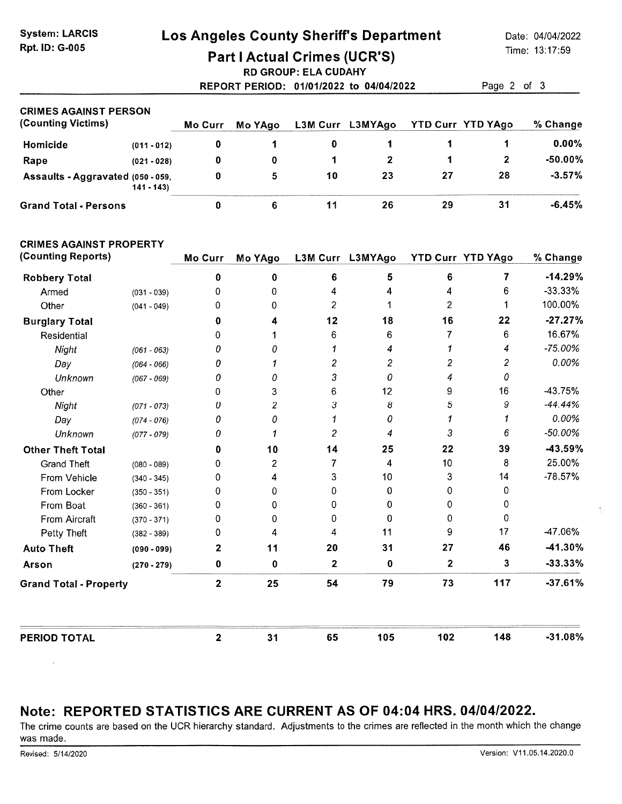## Los Angeles County Sheriff's Department

Date: 04/04/2022 Time: 13:17:59

## **Part I Actual Crimes (UCR'S)**

**RD GROUP: ELA CUDAHY** 

REPORT PERIOD: 01/01/2022 to 04/04/2022 Page 2 of 3

| <b>CRIMES AGAINST PERSON</b>      |               |         |         |          |         |    |                          |           |
|-----------------------------------|---------------|---------|---------|----------|---------|----|--------------------------|-----------|
| (Counting Victims)                |               | Mo Curr | Mo YAgo | L3M Curr | L3MYAgo |    | <b>YTD Curr YTD YAgo</b> | % Change  |
| Homicide                          | $(011 - 012)$ | 0       |         | 0        |         |    |                          | $0.00\%$  |
| Rape                              | $(021 - 028)$ | 0       | 0       |          |         |    |                          | $-50.00%$ |
| Assaults - Aggravated (050 - 059, | $141 - 143$   | 0       | 5       | 10       | 23      | 27 | 28                       | $-3.57%$  |
| <b>Grand Total - Persons</b>      |               |         |         | 11       | 26      | 29 | 31                       | $-6.45%$  |

#### **CRIMES AGAINST PROPERTY**

| (Counting Reports)            |               | <b>Mo Curr</b> | Mo YAgo | L3M Curr | L3MYAgo | YTD Curr YTD YAgo |                | % Change  |
|-------------------------------|---------------|----------------|---------|----------|---------|-------------------|----------------|-----------|
| <b>Robbery Total</b>          |               | 0              | 0       | 6        | 5       | 6                 | 7              | $-14.29%$ |
| Armed                         | $(031 - 039)$ | 0              | 0       | 4        | 4       | 4                 | 6              | $-33.33%$ |
| Other                         | $(041 - 049)$ | 0              | 0       | 2        |         | 2                 |                | 100.00%   |
| <b>Burglary Total</b>         |               | 0              | 4       | 12       | 18      | 16                | 22             | $-27.27%$ |
| Residential                   |               | 0              |         | 6        | 6       |                   | 6              | 16.67%    |
| Night                         | $(061 - 063)$ | 0              | Ω       |          | 4       |                   | 4              | $-75.00%$ |
| Day                           | $(064 - 066)$ | 0              |         | 2        | 2       | 2                 | $\overline{c}$ | 0.00%     |
| Unknown                       | $(067 - 069)$ | 0              | Ω       | 3        | 0       | 4                 | 0              |           |
| Other                         |               | 0              | 3       | 6        | 12      | 9                 | 16             | -43.75%   |
| Night                         | $(071 - 073)$ | 0              | 2       | 3        | 8       | 5                 | 9              | $-44.44%$ |
| Day                           | $(074 - 076)$ | 0              | 0       |          | 0       |                   |                | 0.00%     |
| Unknown                       | $(077 - 079)$ | 0              |         | 2        | 4       | 3                 | 6              | $-50.00%$ |
| <b>Other Theft Total</b>      |               | 0              | 10      | 14       | 25      | 22                | 39             | -43.59%   |
| <b>Grand Theft</b>            | $(080 - 089)$ | 0              | 2       | 7        | 4       | 10                | 8              | 25.00%    |
| From Vehicle                  | $(340 - 345)$ | 0              | 4       | 3        | 10      | 3                 | 14             | $-78.57%$ |
| From Locker                   | $(350 - 351)$ | 0              | 0       | 0        | 0       | 0                 | 0              |           |
| From Boat                     | $(360 - 361)$ | 0              | 0       | 0        | 0       | 0                 | 0              |           |
| From Aircraft                 | $(370 - 371)$ | 0              | 0       | 0        | 0       | 0                 | 0              |           |
| Petty Theft                   | $(382 - 389)$ | 0              | 4       | 4        | 11      | 9                 | 17             | -47.06%   |
| <b>Auto Theft</b>             | $(090 - 099)$ | $\mathbf{2}$   | 11      | 20       | 31      | 27                | 46             | $-41.30%$ |
| Arson                         | $(270 - 279)$ | 0              | 0       | 2        | 0       | 2                 | 3              | $-33.33%$ |
| <b>Grand Total - Property</b> |               | $\mathbf{2}$   | 25      | 54       | 79      | 73                | 117            | $-37.61%$ |
| <b>PERIOD TOTAL</b>           |               | $\mathbf 2$    | 31      | 65       | 105     | 102               | 148            | $-31.08%$ |

## Note: REPORTED STATISTICS ARE CURRENT AS OF 04:04 HRS. 04/04/2022.

The crime counts are based on the UCR hierarchy standard. Adjustments to the crimes are reflected in the month which the change was made.

 $\bar{z}$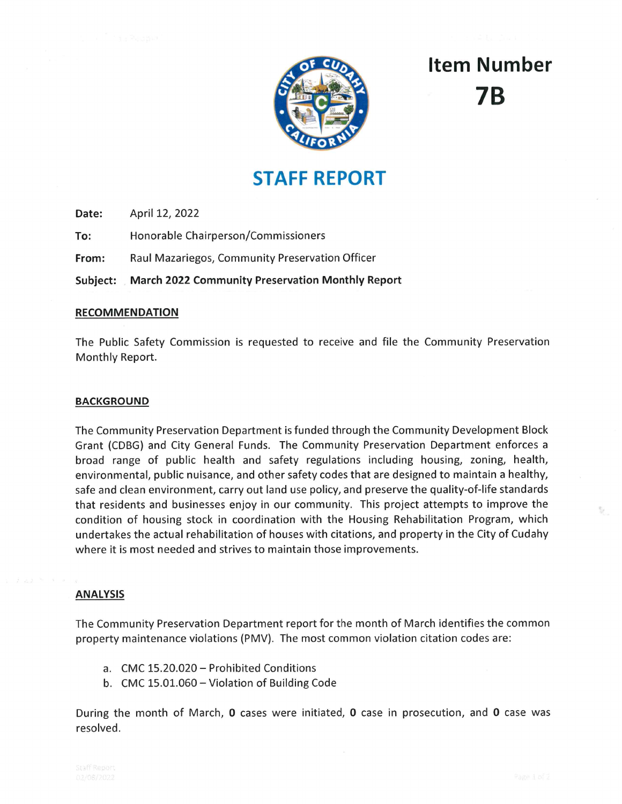

# **Item Number** 7R

# **STAFF REPORT**

Date: April 12, 2022

To: Honorable Chairperson/Commissioners

Raul Mazariegos, Community Preservation Officer From:

**March 2022 Community Preservation Monthly Report** Subject:

#### **RECOMMENDATION**

The Public Safety Commission is requested to receive and file the Community Preservation Monthly Report.

#### **BACKGROUND**

The Community Preservation Department is funded through the Community Development Block Grant (CDBG) and City General Funds. The Community Preservation Department enforces a broad range of public health and safety regulations including housing, zoning, health, environmental, public nuisance, and other safety codes that are designed to maintain a healthy, safe and clean environment, carry out land use policy, and preserve the quality-of-life standards that residents and businesses enjoy in our community. This project attempts to improve the condition of housing stock in coordination with the Housing Rehabilitation Program, which undertakes the actual rehabilitation of houses with citations, and property in the City of Cudahy where it is most needed and strives to maintain those improvements.

#### **ANALYSIS**

The Community Preservation Department report for the month of March identifies the common property maintenance violations (PMV). The most common violation citation codes are:

- a. CMC 15.20.020 Prohibited Conditions
- b. CMC 15.01.060 Violation of Building Code

During the month of March, 0 cases were initiated, 0 case in prosecution, and 0 case was resolved.

Ñ,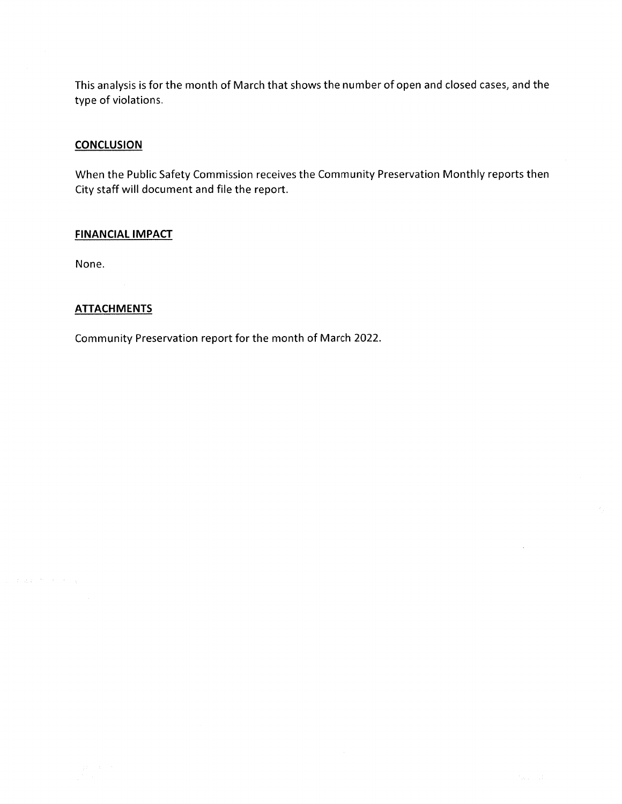This analysis is for the month of March that shows the number of open and closed cases, and the type of violations.

#### **CONCLUSION**

When the Public Safety Commission receives the Community Preservation Monthly reports then City staff will document and file the report.

#### **FINANCIAL IMPACT**

None.

#### **ATTACHMENTS**

Community Preservation report for the month of March 2022.

 $\bar{z}$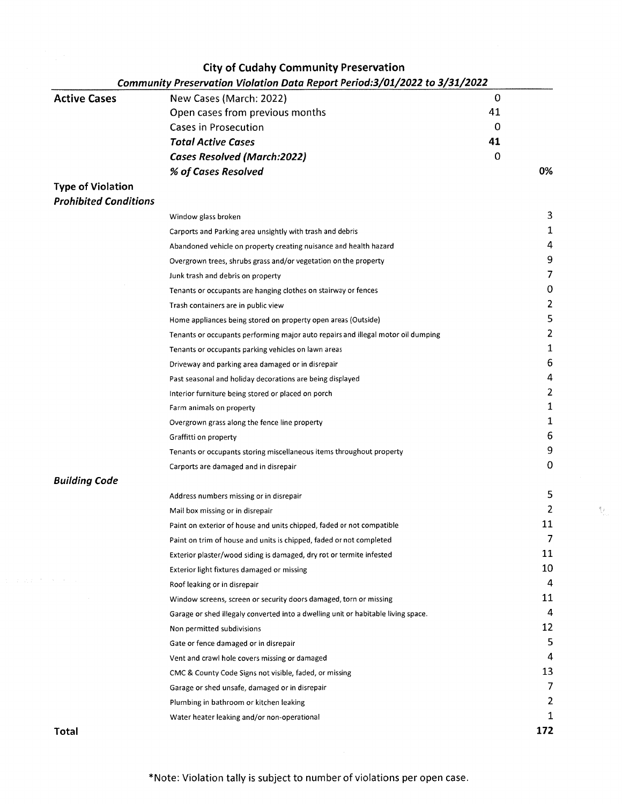| <b>Active Cases</b><br><b>Type of Violation</b><br><b>Prohibited Conditions</b><br><b>Building Code</b><br>$\Delta\sim 10^{-1}$ | New Cases (March: 2022)<br>Open cases from previous months<br><b>Cases in Prosecution</b><br><b>Total Active Cases</b><br><b>Cases Resolved (March:2022)</b><br>% of Cases Resolved<br>Window glass broken<br>Carports and Parking area unsightly with trash and debris<br>Abandoned vehicle on property creating nuisance and health hazard<br>Overgrown trees, shrubs grass and/or vegetation on the property<br>Junk trash and debris on property<br>Tenants or occupants are hanging clothes on stairway or fences<br>Trash containers are in public view<br>Home appliances being stored on property open areas (Outside)<br>Tenants or occupants performing major auto repairs and illegal motor oil dumping<br>Tenants or occupants parking vehicles on lawn areas<br>Driveway and parking area damaged or in disrepair<br>Past seasonal and holiday decorations are being displayed<br>Interior furniture being stored or placed on porch<br>Farm animals on property<br>Overgrown grass along the fence line property<br>Graffitti on property | 0<br>41<br>0<br>41<br>0 | 0%<br>3<br>1<br>4<br>9<br>7<br>0<br>$\overline{2}$<br>5<br>$\overline{2}$<br>1<br>6<br>4<br>$\overline{2}$<br>1<br>1 |
|---------------------------------------------------------------------------------------------------------------------------------|---------------------------------------------------------------------------------------------------------------------------------------------------------------------------------------------------------------------------------------------------------------------------------------------------------------------------------------------------------------------------------------------------------------------------------------------------------------------------------------------------------------------------------------------------------------------------------------------------------------------------------------------------------------------------------------------------------------------------------------------------------------------------------------------------------------------------------------------------------------------------------------------------------------------------------------------------------------------------------------------------------------------------------------------------------|-------------------------|----------------------------------------------------------------------------------------------------------------------|
|                                                                                                                                 |                                                                                                                                                                                                                                                                                                                                                                                                                                                                                                                                                                                                                                                                                                                                                                                                                                                                                                                                                                                                                                                         |                         |                                                                                                                      |
|                                                                                                                                 |                                                                                                                                                                                                                                                                                                                                                                                                                                                                                                                                                                                                                                                                                                                                                                                                                                                                                                                                                                                                                                                         |                         |                                                                                                                      |
|                                                                                                                                 |                                                                                                                                                                                                                                                                                                                                                                                                                                                                                                                                                                                                                                                                                                                                                                                                                                                                                                                                                                                                                                                         |                         |                                                                                                                      |
|                                                                                                                                 |                                                                                                                                                                                                                                                                                                                                                                                                                                                                                                                                                                                                                                                                                                                                                                                                                                                                                                                                                                                                                                                         |                         |                                                                                                                      |
|                                                                                                                                 |                                                                                                                                                                                                                                                                                                                                                                                                                                                                                                                                                                                                                                                                                                                                                                                                                                                                                                                                                                                                                                                         |                         |                                                                                                                      |
|                                                                                                                                 |                                                                                                                                                                                                                                                                                                                                                                                                                                                                                                                                                                                                                                                                                                                                                                                                                                                                                                                                                                                                                                                         |                         |                                                                                                                      |
|                                                                                                                                 |                                                                                                                                                                                                                                                                                                                                                                                                                                                                                                                                                                                                                                                                                                                                                                                                                                                                                                                                                                                                                                                         |                         |                                                                                                                      |
|                                                                                                                                 |                                                                                                                                                                                                                                                                                                                                                                                                                                                                                                                                                                                                                                                                                                                                                                                                                                                                                                                                                                                                                                                         |                         |                                                                                                                      |
|                                                                                                                                 |                                                                                                                                                                                                                                                                                                                                                                                                                                                                                                                                                                                                                                                                                                                                                                                                                                                                                                                                                                                                                                                         |                         |                                                                                                                      |
|                                                                                                                                 |                                                                                                                                                                                                                                                                                                                                                                                                                                                                                                                                                                                                                                                                                                                                                                                                                                                                                                                                                                                                                                                         |                         |                                                                                                                      |
|                                                                                                                                 |                                                                                                                                                                                                                                                                                                                                                                                                                                                                                                                                                                                                                                                                                                                                                                                                                                                                                                                                                                                                                                                         |                         |                                                                                                                      |
|                                                                                                                                 |                                                                                                                                                                                                                                                                                                                                                                                                                                                                                                                                                                                                                                                                                                                                                                                                                                                                                                                                                                                                                                                         |                         |                                                                                                                      |
|                                                                                                                                 |                                                                                                                                                                                                                                                                                                                                                                                                                                                                                                                                                                                                                                                                                                                                                                                                                                                                                                                                                                                                                                                         |                         |                                                                                                                      |
|                                                                                                                                 |                                                                                                                                                                                                                                                                                                                                                                                                                                                                                                                                                                                                                                                                                                                                                                                                                                                                                                                                                                                                                                                         |                         |                                                                                                                      |
|                                                                                                                                 |                                                                                                                                                                                                                                                                                                                                                                                                                                                                                                                                                                                                                                                                                                                                                                                                                                                                                                                                                                                                                                                         |                         |                                                                                                                      |
|                                                                                                                                 |                                                                                                                                                                                                                                                                                                                                                                                                                                                                                                                                                                                                                                                                                                                                                                                                                                                                                                                                                                                                                                                         |                         |                                                                                                                      |
|                                                                                                                                 |                                                                                                                                                                                                                                                                                                                                                                                                                                                                                                                                                                                                                                                                                                                                                                                                                                                                                                                                                                                                                                                         |                         |                                                                                                                      |
|                                                                                                                                 |                                                                                                                                                                                                                                                                                                                                                                                                                                                                                                                                                                                                                                                                                                                                                                                                                                                                                                                                                                                                                                                         |                         |                                                                                                                      |
|                                                                                                                                 |                                                                                                                                                                                                                                                                                                                                                                                                                                                                                                                                                                                                                                                                                                                                                                                                                                                                                                                                                                                                                                                         |                         |                                                                                                                      |
|                                                                                                                                 |                                                                                                                                                                                                                                                                                                                                                                                                                                                                                                                                                                                                                                                                                                                                                                                                                                                                                                                                                                                                                                                         |                         |                                                                                                                      |
|                                                                                                                                 |                                                                                                                                                                                                                                                                                                                                                                                                                                                                                                                                                                                                                                                                                                                                                                                                                                                                                                                                                                                                                                                         |                         |                                                                                                                      |
|                                                                                                                                 |                                                                                                                                                                                                                                                                                                                                                                                                                                                                                                                                                                                                                                                                                                                                                                                                                                                                                                                                                                                                                                                         |                         |                                                                                                                      |
|                                                                                                                                 |                                                                                                                                                                                                                                                                                                                                                                                                                                                                                                                                                                                                                                                                                                                                                                                                                                                                                                                                                                                                                                                         |                         | 6                                                                                                                    |
|                                                                                                                                 | Tenants or occupants storing miscellaneous items throughout property                                                                                                                                                                                                                                                                                                                                                                                                                                                                                                                                                                                                                                                                                                                                                                                                                                                                                                                                                                                    |                         | 9                                                                                                                    |
|                                                                                                                                 | Carports are damaged and in disrepair                                                                                                                                                                                                                                                                                                                                                                                                                                                                                                                                                                                                                                                                                                                                                                                                                                                                                                                                                                                                                   |                         | 0                                                                                                                    |
|                                                                                                                                 |                                                                                                                                                                                                                                                                                                                                                                                                                                                                                                                                                                                                                                                                                                                                                                                                                                                                                                                                                                                                                                                         |                         |                                                                                                                      |
|                                                                                                                                 | Address numbers missing or in disrepair                                                                                                                                                                                                                                                                                                                                                                                                                                                                                                                                                                                                                                                                                                                                                                                                                                                                                                                                                                                                                 |                         | 5                                                                                                                    |
|                                                                                                                                 | Mail box missing or in disrepair                                                                                                                                                                                                                                                                                                                                                                                                                                                                                                                                                                                                                                                                                                                                                                                                                                                                                                                                                                                                                        |                         | 2                                                                                                                    |
|                                                                                                                                 | Paint on exterior of house and units chipped, faded or not compatible                                                                                                                                                                                                                                                                                                                                                                                                                                                                                                                                                                                                                                                                                                                                                                                                                                                                                                                                                                                   |                         | 11                                                                                                                   |
|                                                                                                                                 | Paint on trim of house and units is chipped, faded or not completed                                                                                                                                                                                                                                                                                                                                                                                                                                                                                                                                                                                                                                                                                                                                                                                                                                                                                                                                                                                     |                         | 7                                                                                                                    |
|                                                                                                                                 | Exterior plaster/wood siding is damaged, dry rot or termite infested                                                                                                                                                                                                                                                                                                                                                                                                                                                                                                                                                                                                                                                                                                                                                                                                                                                                                                                                                                                    |                         | 11                                                                                                                   |
|                                                                                                                                 | Exterior light fixtures damaged or missing                                                                                                                                                                                                                                                                                                                                                                                                                                                                                                                                                                                                                                                                                                                                                                                                                                                                                                                                                                                                              |                         | 10                                                                                                                   |
|                                                                                                                                 | Roof leaking or in disrepair                                                                                                                                                                                                                                                                                                                                                                                                                                                                                                                                                                                                                                                                                                                                                                                                                                                                                                                                                                                                                            |                         | 4                                                                                                                    |
|                                                                                                                                 | Window screens, screen or security doors damaged, torn or missing                                                                                                                                                                                                                                                                                                                                                                                                                                                                                                                                                                                                                                                                                                                                                                                                                                                                                                                                                                                       |                         | 11                                                                                                                   |
|                                                                                                                                 | Garage or shed illegaly converted into a dwelling unit or habitable living space.                                                                                                                                                                                                                                                                                                                                                                                                                                                                                                                                                                                                                                                                                                                                                                                                                                                                                                                                                                       |                         | 4                                                                                                                    |
|                                                                                                                                 | Non permitted subdivisions                                                                                                                                                                                                                                                                                                                                                                                                                                                                                                                                                                                                                                                                                                                                                                                                                                                                                                                                                                                                                              |                         | 12                                                                                                                   |
|                                                                                                                                 | Gate or fence damaged or in disrepair                                                                                                                                                                                                                                                                                                                                                                                                                                                                                                                                                                                                                                                                                                                                                                                                                                                                                                                                                                                                                   |                         | 5                                                                                                                    |
|                                                                                                                                 | Vent and crawl hole covers missing or damaged                                                                                                                                                                                                                                                                                                                                                                                                                                                                                                                                                                                                                                                                                                                                                                                                                                                                                                                                                                                                           |                         | 4                                                                                                                    |
|                                                                                                                                 | CMC & County Code Signs not visible, faded, or missing                                                                                                                                                                                                                                                                                                                                                                                                                                                                                                                                                                                                                                                                                                                                                                                                                                                                                                                                                                                                  |                         | 13                                                                                                                   |
|                                                                                                                                 | Garage or shed unsafe, damaged or in disrepair                                                                                                                                                                                                                                                                                                                                                                                                                                                                                                                                                                                                                                                                                                                                                                                                                                                                                                                                                                                                          |                         | 7                                                                                                                    |
|                                                                                                                                 | Plumbing in bathroom or kitchen leaking                                                                                                                                                                                                                                                                                                                                                                                                                                                                                                                                                                                                                                                                                                                                                                                                                                                                                                                                                                                                                 |                         | 2                                                                                                                    |
| Water heater leaking and/or non-operational                                                                                     |                                                                                                                                                                                                                                                                                                                                                                                                                                                                                                                                                                                                                                                                                                                                                                                                                                                                                                                                                                                                                                                         |                         | 1                                                                                                                    |

 $\mathcal{C}_{\mathcal{C}}$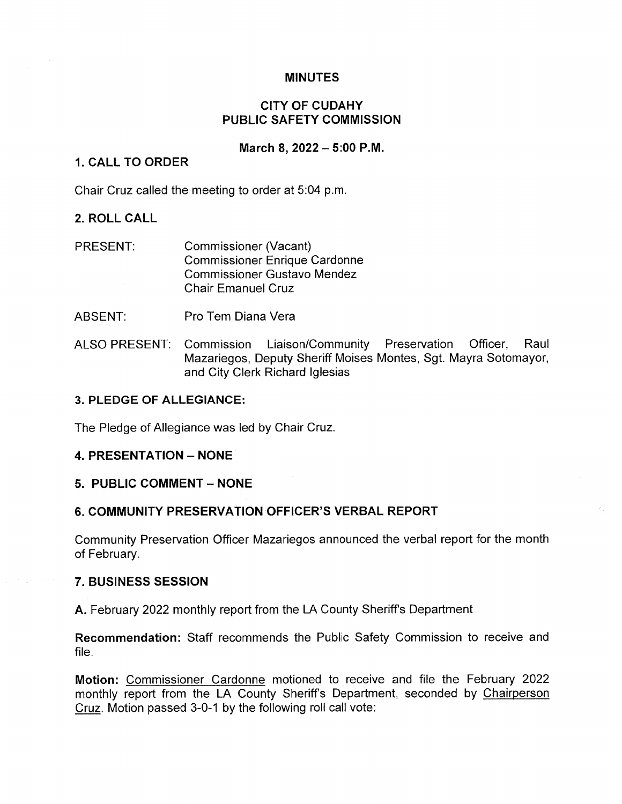### **MINUTES**

## **CITY OF CUDAHY** PUBLIC SAFETY COMMISSION

#### March 8, 2022 - 5:00 P.M.

### **1. CALL TO ORDER**

Chair Cruz called the meeting to order at 5:04 p.m.

### 2. ROLL CALL

- PRESENT: **Commissioner (Vacant) Commissioner Enrique Cardonne Commissioner Gustavo Mendez Chair Emanuel Cruz**
- ABSENT: Pro Tem Diana Vera
- **ALSO PRESENT:** Commission Liaison/Community Preservation Officer. Raul Mazariegos, Deputy Sheriff Moises Montes, Sqt. Mayra Sotomayor, and City Clerk Richard Iglesias

#### 3. PLEDGE OF ALLEGIANCE:

The Pledge of Allegiance was led by Chair Cruz.

#### **4. PRESENTATION - NONE**

#### 5. PUBLIC COMMENT - NONE

#### 6. COMMUNITY PRESERVATION OFFICER'S VERBAL REPORT

Community Preservation Officer Mazariegos announced the verbal report for the month of February.

#### 7. BUSINESS SESSION

A. February 2022 monthly report from the LA County Sheriff's Department

Recommendation: Staff recommends the Public Safety Commission to receive and file.

Motion: Commissioner Cardonne motioned to receive and file the February 2022 monthly report from the LA County Sheriff's Department, seconded by Chairperson Cruz. Motion passed 3-0-1 by the following roll call vote: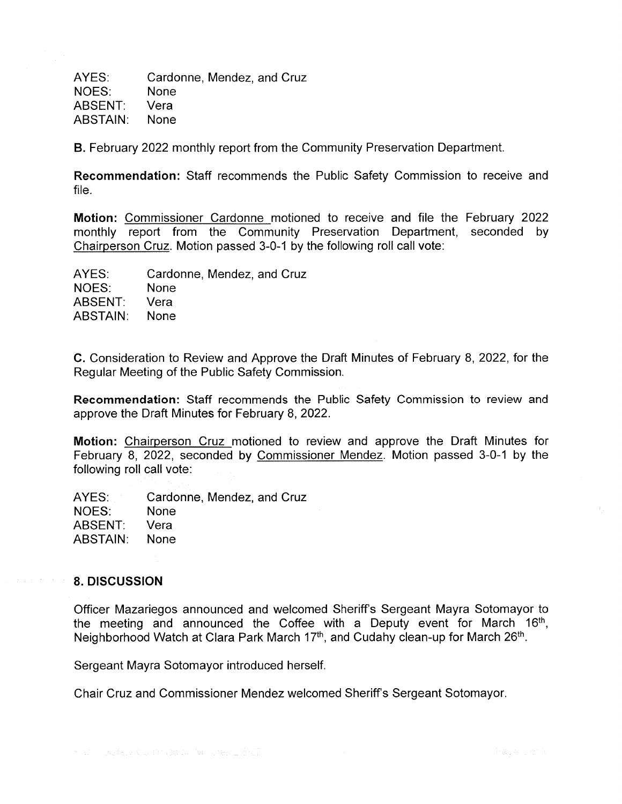AYES: Cardonne, Mendez, and Cruz NOES: **None** ABSENT: Vera ABSTAIN: **None** 

**B.** February 2022 monthly report from the Community Preservation Department.

Recommendation: Staff recommends the Public Safety Commission to receive and file.

Motion: Commissioner Cardonne motioned to receive and file the February 2022 monthly report from the Community Preservation Department, seconded by Chairperson Cruz. Motion passed 3-0-1 by the following roll call vote:

Cardonne, Mendez, and Cruz AYES: NOES: **None** ABSENT: Vera ABSTAIN: **None** 

C. Consideration to Review and Approve the Draft Minutes of February 8, 2022, for the Regular Meeting of the Public Safety Commission.

Recommendation: Staff recommends the Public Safety Commission to review and approve the Draft Minutes for February 8, 2022.

Motion: Chairperson Cruz motioned to review and approve the Draft Minutes for February 8, 2022, seconded by Commissioner Mendez. Motion passed 3-0-1 by the following roll call vote:

AYES: Cardonne, Mendez, and Cruz NOES: **None** ABSENT: Vera ABSTAIN: None

#### 8. DISCUSSION

Officer Mazariegos announced and welcomed Sheriff's Sergeant Mayra Sotomayor to the meeting and announced the Coffee with a Deputy event for March 16<sup>th</sup>, Neighborhood Watch at Clara Park March 17th, and Cudahy clean-up for March 26th.

Sergeant Mayra Sotomayor introduced herself.

Chair Cruz and Commissioner Mendez welcomed Sheriff's Sergeant Sotomayor.